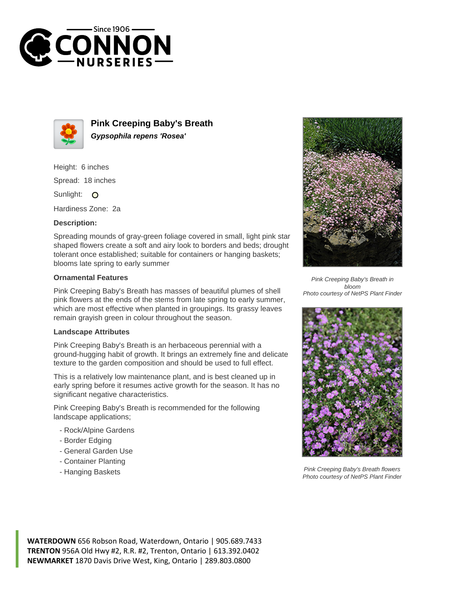



**Pink Creeping Baby's Breath Gypsophila repens 'Rosea'**

Height: 6 inches Spread: 18 inches

Sunlight: O

Hardiness Zone: 2a

## **Description:**

Spreading mounds of gray-green foliage covered in small, light pink star shaped flowers create a soft and airy look to borders and beds; drought tolerant once established; suitable for containers or hanging baskets; blooms late spring to early summer

## **Ornamental Features**

Pink Creeping Baby's Breath has masses of beautiful plumes of shell pink flowers at the ends of the stems from late spring to early summer, which are most effective when planted in groupings. Its grassy leaves remain grayish green in colour throughout the season.

## **Landscape Attributes**

Pink Creeping Baby's Breath is an herbaceous perennial with a ground-hugging habit of growth. It brings an extremely fine and delicate texture to the garden composition and should be used to full effect.

This is a relatively low maintenance plant, and is best cleaned up in early spring before it resumes active growth for the season. It has no significant negative characteristics.

Pink Creeping Baby's Breath is recommended for the following landscape applications;

- Rock/Alpine Gardens
- Border Edging
- General Garden Use
- Container Planting
- Hanging Baskets



Pink Creeping Baby's Breath in bloom Photo courtesy of NetPS Plant Finder



Pink Creeping Baby's Breath flowers Photo courtesy of NetPS Plant Finder

**WATERDOWN** 656 Robson Road, Waterdown, Ontario | 905.689.7433 **TRENTON** 956A Old Hwy #2, R.R. #2, Trenton, Ontario | 613.392.0402 **NEWMARKET** 1870 Davis Drive West, King, Ontario | 289.803.0800